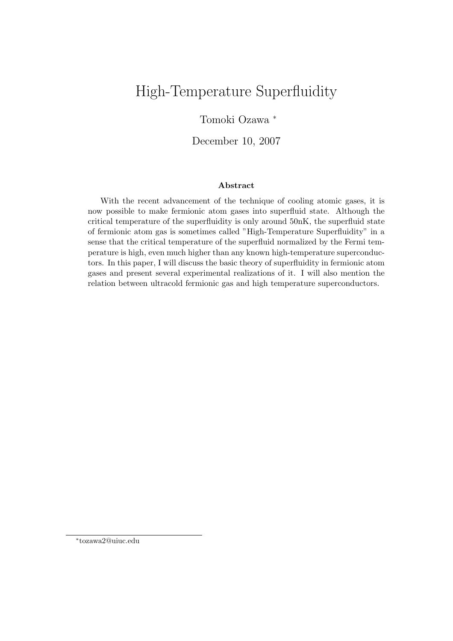# High-Temperature Superfluidity

### Tomoki Ozawa *<sup>∗</sup>*

December 10, 2007

#### **Abstract**

With the recent advancement of the technique of cooling atomic gases, it is now possible to make fermionic atom gases into superfluid state. Although the critical temperature of the superfluidity is only around 50nK, the superfluid state of fermionic atom gas is sometimes called "High-Temperature Superfluidity" in a sense that the critical temperature of the superfluid normalized by the Fermi temperature is high, even much higher than any known high-temperature superconductors. In this paper, I will discuss the basic theory of superfluidity in fermionic atom gases and present several experimental realizations of it. I will also mention the relation between ultracold fermionic gas and high temperature superconductors.

*<sup>∗</sup>* tozawa2@uiuc.edu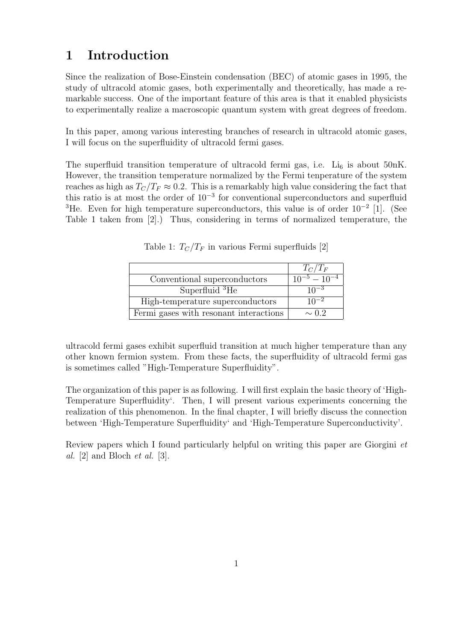## **1 Introduction**

Since the realization of Bose-Einstein condensation (BEC) of atomic gases in 1995, the study of ultracold atomic gases, both experimentally and theoretically, has made a remarkable success. One of the important feature of this area is that it enabled physicists to experimentally realize a macroscopic quantum system with great degrees of freedom.

In this paper, among various interesting branches of research in ultracold atomic gases, I will focus on the superfluidity of ultracold fermi gases.

The superfluid transition temperature of ultracold fermi gas, i.e.  $\text{Li}_6$  is about 50nK. However, the transition temperature normalized by the Fermi tenperature of the system reaches as high as  $T_C/T_F \approx 0.2$ . This is a remarkably high value considering the fact that this ratio is at most the order of 10*−*<sup>3</sup> for conventional superconductors and superfluid <sup>3</sup>He. Even for high temperature superconductors, this value is of order  $10^{-2}$  [1]. (See Table 1 taken from [2].) Thus, considering in terms of normalized temperature, the

|                                        | $T_C/T_F$                           |
|----------------------------------------|-------------------------------------|
| Conventional superconductors           | $\frac{10^{-5} - 10^{-4}}{10^{-4}}$ |
| Superfluid ${}^{3}$ He                 | $10^{-3}$                           |
| High-temperature superconductors       | $10^{-2}$                           |
| Fermi gases with resonant interactions | $\sim$ 0.2                          |

Table 1:  $T_C/T_F$  in various Fermi superfluids [2]

ultracold fermi gases exhibit superfluid transition at much higher temperature than any other known fermion system. From these facts, the superfluidity of ultracold fermi gas is sometimes called "High-Temperature Superfluidity".

The organization of this paper is as following. I will first explain the basic theory of 'High-Temperature Superfluidity'. Then, I will present various experiments concerning the realization of this phenomenon. In the final chapter, I will briefly discuss the connection between 'High-Temperature Superfluidity' and 'High-Temperature Superconductivity'.

Review papers which I found particularly helpful on writing this paper are Giorgini *et al.* [2] and Bloch *et al.* [3].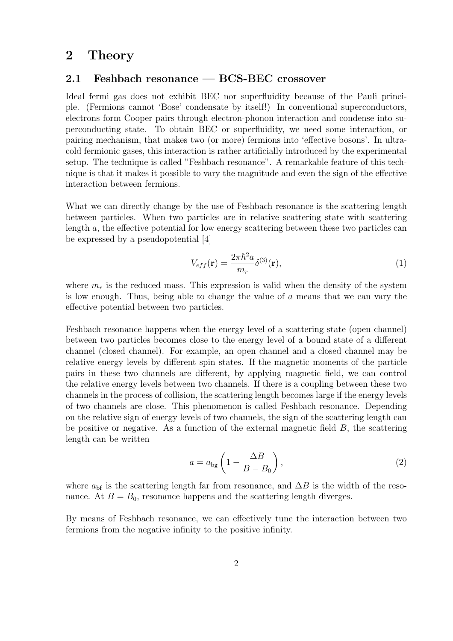### **2 Theory**

### **2.1 Feshbach resonance — BCS-BEC crossover**

Ideal fermi gas does not exhibit BEC nor superfluidity because of the Pauli principle. (Fermions cannot 'Bose' condensate by itself!) In conventional superconductors, electrons form Cooper pairs through electron-phonon interaction and condense into superconducting state. To obtain BEC or superfluidity, we need some interaction, or pairing mechanism, that makes two (or more) fermions into 'effective bosons'. In ultracold fermionic gases, this interaction is rather artificially introduced by the experimental setup. The technique is called "Feshbach resonance". A remarkable feature of this technique is that it makes it possible to vary the magnitude and even the sign of the effective interaction between fermions.

What we can directly change by the use of Feshbach resonance is the scattering length between particles. When two particles are in relative scattering state with scattering length *a*, the effective potential for low energy scattering between these two particles can be expressed by a pseudopotential [4]

$$
V_{eff}(\mathbf{r}) = \frac{2\pi\hbar^2 a}{m_r} \delta^{(3)}(\mathbf{r}),\tag{1}
$$

where  $m_r$  is the reduced mass. This expression is valid when the density of the system is low enough. Thus, being able to change the value of *a* means that we can vary the effective potential between two particles.

Feshbach resonance happens when the energy level of a scattering state (open channel) between two particles becomes close to the energy level of a bound state of a different channel (closed channel). For example, an open channel and a closed channel may be relative energy levels by different spin states. If the magnetic moments of the particle pairs in these two channels are different, by applying magnetic field, we can control the relative energy levels between two channels. If there is a coupling between these two channels in the process of collision, the scattering length becomes large if the energy levels of two channels are close. This phenomenon is called Feshbach resonance. Depending on the relative sign of energy levels of two channels, the sign of the scattering length can be positive or negative. As a function of the external magnetic field *B*, the scattering length can be written

$$
a = a_{\text{bg}} \left( 1 - \frac{\Delta B}{B - B_0} \right),\tag{2}
$$

where  $a_{\text{bf}}$  is the scattering length far from resonance, and  $\Delta B$  is the width of the resonance. At  $B = B_0$ , resonance happens and the scattering length diverges.

By means of Feshbach resonance, we can effectively tune the interaction between two fermions from the negative infinity to the positive infinity.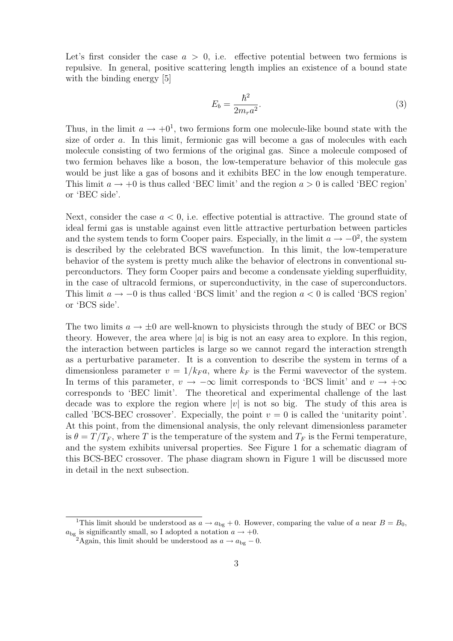Let's first consider the case  $a > 0$ , i.e. effective potential between two fermions is repulsive. In general, positive scattering length implies an existence of a bound state with the binding energy [5]

$$
E_b = \frac{\hbar^2}{2m_r a^2}.\tag{3}
$$

Thus, in the limit  $a \to +0^1$ , two fermions form one molecule-like bound state with the size of order *a*. In this limit, fermionic gas will become a gas of molecules with each molecule consisting of two fermions of the original gas. Since a molecule composed of two fermion behaves like a boson, the low-temperature behavior of this molecule gas would be just like a gas of bosons and it exhibits BEC in the low enough temperature. This limit  $a \rightarrow +0$  is thus called 'BEC limit' and the region  $a > 0$  is called 'BEC region' or 'BEC side'.

Next, consider the case *a <* 0, i.e. effective potential is attractive. The ground state of ideal fermi gas is unstable against even little attractive perturbation between particles and the system tends to form Cooper pairs. Especially, in the limit  $a \to -0^2$ , the system is described by the celebrated BCS wavefunction. In this limit, the low-temperature behavior of the system is pretty much alike the behavior of electrons in conventional superconductors. They form Cooper pairs and become a condensate yielding superfluidity, in the case of ultracold fermions, or superconductivity, in the case of superconductors. This limit *a → −*0 is thus called 'BCS limit' and the region *a <* 0 is called 'BCS region' or 'BCS side'.

The two limits  $a \to \pm 0$  are well-known to physicists through the study of BEC or BCS theory. However, the area where *|a|* is big is not an easy area to explore. In this region, the interaction between particles is large so we cannot regard the interaction strength as a perturbative parameter. It is a convention to describe the system in terms of a dimensionless parameter  $v = 1/k_F a$ , where  $k_F$  is the Fermi wavevector of the system. In terms of this parameter,  $v \rightarrow -\infty$  limit corresponds to 'BCS limit' and  $v \rightarrow +\infty$ corresponds to 'BEC limit'. The theoretical and experimental challenge of the last decade was to explore the region where  $|v|$  is not so big. The study of this area is called 'BCS-BEC crossover'. Expecially, the point  $v = 0$  is called the 'unitarity point'. At this point, from the dimensional analysis, the only relevant dimensionless parameter is  $\theta = T/T_F$ , where *T* is the temperature of the system and  $T_F$  is the Fermi temperature, and the system exhibits universal properties. See Figure 1 for a schematic diagram of this BCS-BEC crossover. The phase diagram shown in Figure 1 will be discussed more in detail in the next subsection.

<sup>&</sup>lt;sup>1</sup>This limit should be understood as  $a \rightarrow a_{\text{bg}} + 0$ . However, comparing the value of *a* near  $B = B_0$ ,  $a_{\text{bg}}$  is significantly small, so I adopted a notation  $a \rightarrow +0$ .

<sup>&</sup>lt;sup>2</sup>Again, this limit should be understood as  $a \rightarrow a_{\text{bg}} - 0$ .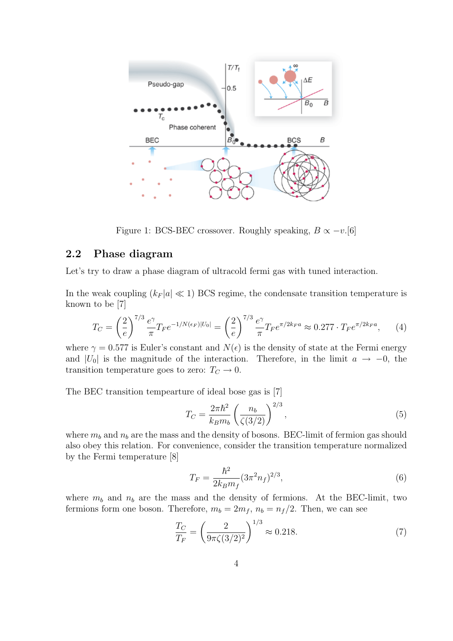

Figure 1: BCS-BEC crossover. Roughly speaking,  $B \propto -v$ .[6]

### **2.2 Phase diagram**

Let's try to draw a phase diagram of ultracold fermi gas with tuned interaction.

In the weak coupling  $(k_F|a| \ll 1)$  BCS regime, the condensate transition temperature is known to be [7]

$$
T_C = \left(\frac{2}{e}\right)^{7/3} \frac{e^{\gamma}}{\pi} T_F e^{-1/N(\epsilon_F)|U_0|} = \left(\frac{2}{e}\right)^{7/3} \frac{e^{\gamma}}{\pi} T_F e^{\pi/2k_F a} \approx 0.277 \cdot T_F e^{\pi/2k_F a},\tag{4}
$$

where  $\gamma = 0.577$  is Euler's constant and  $N(\epsilon)$  is the density of state at the Fermi energy and  $|U_0|$  is the magnitude of the interaction. Therefore, in the limit  $a \to -0$ , the transition temperature goes to zero:  $T_C \rightarrow 0$ .

The BEC transition tempearture of ideal bose gas is [7]

$$
T_C = \frac{2\pi\hbar^2}{k_B m_b} \left(\frac{n_b}{\zeta(3/2)}\right)^{2/3},\tag{5}
$$

where  $m_b$  and  $n_b$  are the mass and the density of bosons. BEC-limit of fermion gas should also obey this relation. For convenience, consider the transition temperature normalized by the Fermi temperature [8]

$$
T_F = \frac{\hbar^2}{2k_B m_f} (3\pi^2 n_f)^{2/3},\tag{6}
$$

where  $m_b$  and  $n_b$  are the mass and the density of fermions. At the BEC-limit, two fermions form one boson. Therefore,  $m_b = 2m_f$ ,  $n_b = n_f/2$ . Then, we can see

$$
\frac{T_C}{T_F} = \left(\frac{2}{9\pi\zeta(3/2)^2}\right)^{1/3} \approx 0.218.
$$
 (7)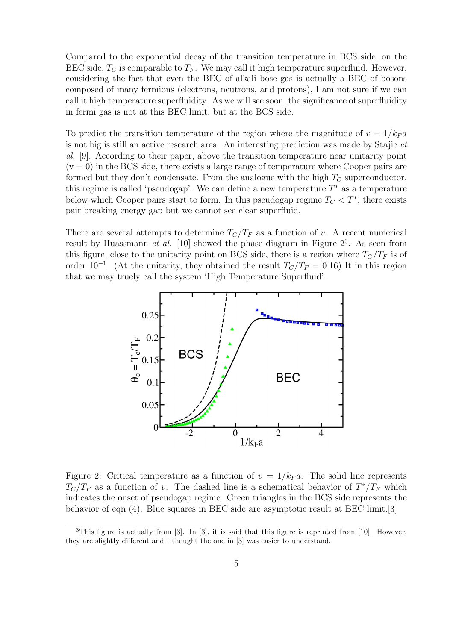Compared to the exponential decay of the transition temperature in BCS side, on the BEC side,  $T_C$  is comparable to  $T_F$ . We may call it high temperature superfluid. However, considering the fact that even the BEC of alkali bose gas is actually a BEC of bosons composed of many fermions (electrons, neutrons, and protons), I am not sure if we can call it high temperature superfluidity. As we will see soon, the significance of superfluidity in fermi gas is not at this BEC limit, but at the BCS side.

To predict the transition temperature of the region where the magnitude of  $v = 1/k_F a$ is not big is still an active research area. An interesting prediction was made by Stajic *et al.* [9]. According to their paper, above the transition temperature near unitarity point  $(v = 0)$  in the BCS side, there exists a large range of temperature where Cooper pairs are formed but they don't condensate. From the analogue with the high *T<sup>C</sup>* superconductor, this regime is called 'pseudogap'. We can define a new temperature *T <sup>∗</sup>* as a temperature below which Cooper pairs start to form. In this pseudogap regime  $T_C < T^*$ , there exists pair breaking energy gap but we cannot see clear superfluid.

There are several attempts to determine  $T_C/T_F$  as a function of *v*. A recent numerical result by Huassmann  $et$   $al$ . [10] showed the phase diagram in Figure  $2<sup>3</sup>$ . As seen from this figure, close to the unitarity point on BCS side, there is a region where  $T_c/T_F$  is of order  $10^{-1}$ . (At the unitarity, they obtained the result  $T_C/T_F = 0.16$ ) It in this region that we may truely call the system 'High Temperature Superfluid'.



Figure 2: Critical temperature as a function of  $v = 1/k_F a$ . The solid line represents  $T_c/T_F$  as a function of *v*. The dashed line is a schematical behavior of  $T^*/T_F$  which indicates the onset of pseudogap regime. Green triangles in the BCS side represents the behavior of eqn (4). Blue squares in BEC side are asymptotic result at BEC limit.[3]

 $3$ This figure is actually from [3]. In [3], it is said that this figure is reprinted from [10]. However, they are slightly different and I thought the one in [3] was easier to understand.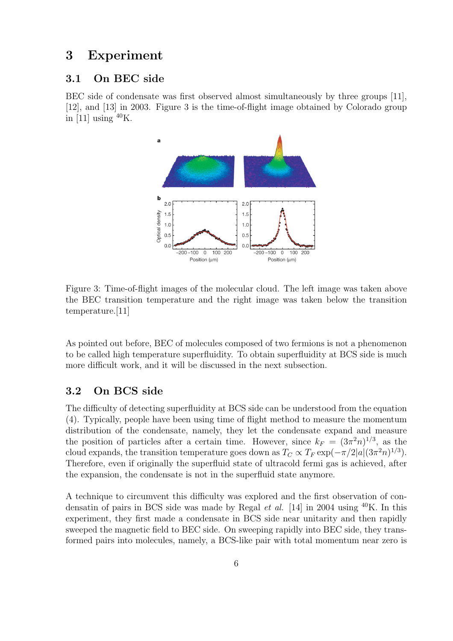### **3 Experiment**

#### **3.1 On BEC side**

BEC side of condensate was first observed almost simultaneously by three groups [11], [12], and [13] in 2003. Figure 3 is the time-of-flight image obtained by Colorado group in [11] using  $^{40}$ K.



Figure 3: Time-of-flight images of the molecular cloud. The left image was taken above the BEC transition temperature and the right image was taken below the transition temperature.[11]

As pointed out before, BEC of molecules composed of two fermions is not a phenomenon to be called high temperature superfluidity. To obtain superfluidity at BCS side is much more difficult work, and it will be discussed in the next subsection.

### **3.2 On BCS side**

The difficulty of detecting superfluidity at BCS side can be understood from the equation (4). Typically, people have been using time of flight method to measure the momentum distribution of the condensate, namely, they let the condensate expand and measure the position of particles after a certain time. However, since  $k_F = (3\pi^2 n)^{1/3}$ , as the cloud expands, the transition temperature goes down as  $T_C \propto T_F \exp(-\pi/2|a|(3\pi^2 n)^{1/3})$ . Therefore, even if originally the superfluid state of ultracold fermi gas is achieved, after the expansion, the condensate is not in the superfluid state anymore.

A technique to circumvent this difficulty was explored and the first observation of condensatin of pairs in BCS side was made by Regal *et al.* [14] in 2004 using <sup>40</sup>K. In this experiment, they first made a condensate in BCS side near unitarity and then rapidly sweeped the magnetic field to BEC side. On sweeping rapidly into BEC side, they transformed pairs into molecules, namely, a BCS-like pair with total momentum near zero is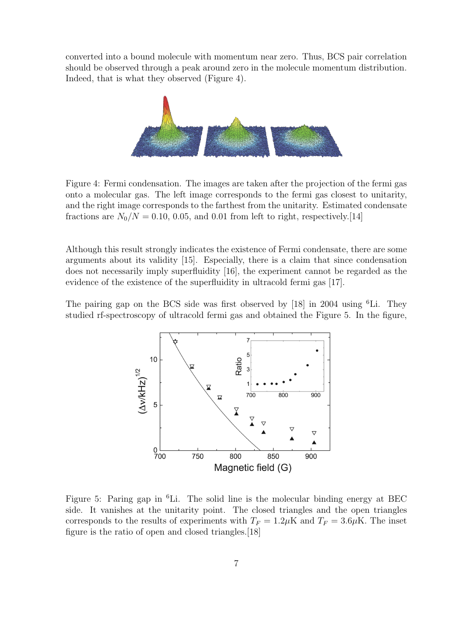converted into a bound molecule with momentum near zero. Thus, BCS pair correlation should be observed through a peak around zero in the molecule momentum distribution. Indeed, that is what they observed (Figure 4).



Figure 4: Fermi condensation. The images are taken after the projection of the fermi gas onto a molecular gas. The left image corresponds to the fermi gas closest to unitarity, and the right image corresponds to the farthest from the unitarity. Estimated condensate fractions are  $N_0/N = 0.10, 0.05,$  and 0.01 from left to right, respectively.[14]

Although this result strongly indicates the existence of Fermi condensate, there are some arguments about its validity [15]. Especially, there is a claim that since condensation does not necessarily imply superfluidity [16], the experiment cannot be regarded as the evidence of the existence of the superfluidity in ultracold fermi gas [17].

The pairing gap on the BCS side was first observed by [18] in 2004 using  ${}^{6}$ Li. They studied rf-spectroscopy of ultracold fermi gas and obtained the Figure 5. In the figure,



Figure 5: Paring gap in <sup>6</sup>Li. The solid line is the molecular binding energy at BEC side. It vanishes at the unitarity point. The closed triangles and the open triangles corresponds to the results of experiments with  $T_F = 1.2 \mu$ K and  $T_F = 3.6 \mu$ K. The inset figure is the ratio of open and closed triangles.[18]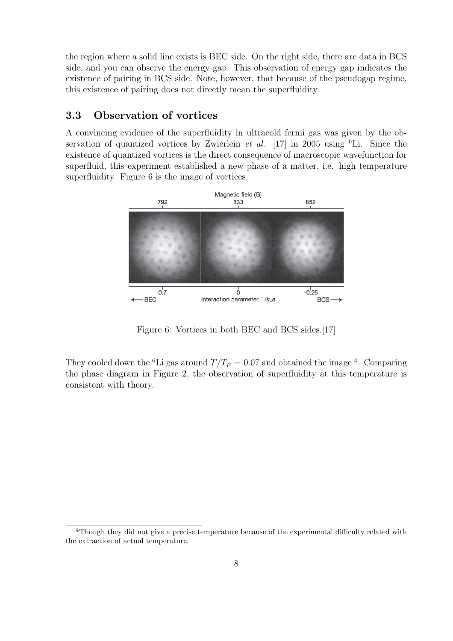the region where a solid line exists is BEC side. On the right side, there are data in BCS side, and you can observe the energy gap. This observation of energy gap indicates the existence of pairing in BCS side. Note, however, that because of the pseudogap regime, this existence of pairing does not directly mean the superfluidity.

### **3.3 Observation of vortices**

A convincing evidence of the superfluidity in ultracold fermi gas was given by the observation of quantized vortices by Zwierlein *et al.* [17] in 2005 using <sup>6</sup>Li. Since the existence of quantized vortices is the direct consequence of macroscopic wavefunction for superfluid, this experiment established a new phase of a matter, i.e. high temperature superfluidity. Figure 6 is the image of vortices.



Figure 6: Vortices in both BEC and BCS sides.[17]

They cooled down the <sup>6</sup>Li gas around  $T/T_F = 0.07$  and obtained the image <sup>4</sup>. Comparing the phase diagram in Figure 2, the observation of superfluidity at this temperature is consistent with theory.

<sup>4</sup>Though they did not give a precise temperature because of the experimental difficulty related with the extraction of actual temperature.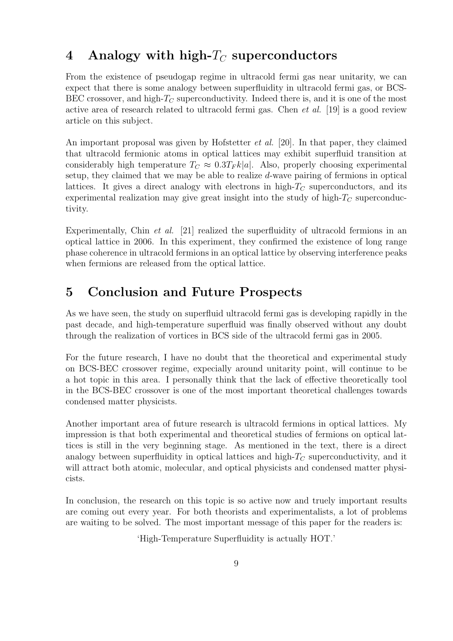# **4 Analogy with high-***T<sup>C</sup>* **superconductors**

From the existence of pseudogap regime in ultracold fermi gas near unitarity, we can expect that there is some analogy between superfluidity in ultracold fermi gas, or BCS-BEC crossover, and high-*T<sup>C</sup>* superconductivity. Indeed there is, and it is one of the most active area of research related to ultracold fermi gas. Chen *et al.* [19] is a good review article on this subject.

An important proposal was given by Hofstetter *et al.* [20]. In that paper, they claimed that ultracold fermionic atoms in optical lattices may exhibit superfluid transition at considerably high temperature  $T_C \approx 0.3T_F k|a|$ . Also, properly choosing experimental setup, they claimed that we may be able to realize *d*-wave pairing of fermions in optical lattices. It gives a direct analogy with electrons in high- $T_C$  superconductors, and its experimental realization may give great insight into the study of high- $T_C$  superconductivity.

Experimentally, Chin *et al.* [21] realized the superfluidity of ultracold fermions in an optical lattice in 2006. In this experiment, they confirmed the existence of long range phase coherence in ultracold fermions in an optical lattice by observing interference peaks when fermions are released from the optical lattice.

# **5 Conclusion and Future Prospects**

As we have seen, the study on superfluid ultracold fermi gas is developing rapidly in the past decade, and high-temperature superfluid was finally observed without any doubt through the realization of vortices in BCS side of the ultracold fermi gas in 2005.

For the future research, I have no doubt that the theoretical and experimental study on BCS-BEC crossover regime, expecially around unitarity point, will continue to be a hot topic in this area. I personally think that the lack of effective theoretically tool in the BCS-BEC crossover is one of the most important theoretical challenges towards condensed matter physicists.

Another important area of future research is ultracold fermions in optical lattices. My impression is that both experimental and theoretical studies of fermions on optical lattices is still in the very beginning stage. As mentioned in the text, there is a direct analogy between superfluidity in optical lattices and high-*T<sup>C</sup>* superconductivity, and it will attract both atomic, molecular, and optical physicists and condensed matter physicists.

In conclusion, the research on this topic is so active now and truely important results are coming out every year. For both theorists and experimentalists, a lot of problems are waiting to be solved. The most important message of this paper for the readers is:

'High-Temperature Superfluidity is actually HOT.'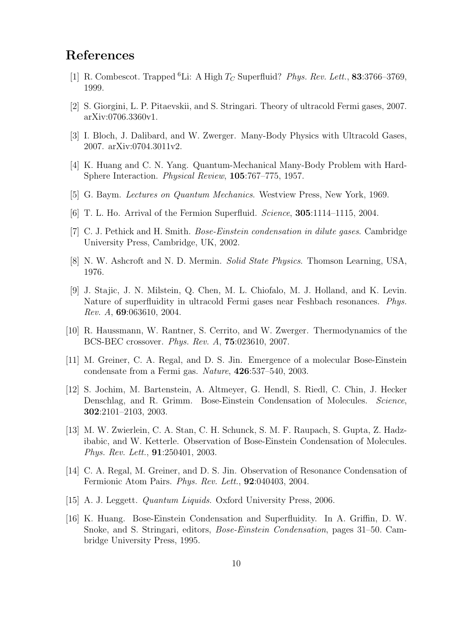# **References**

- [1] R. Combescot. Trapped <sup>6</sup>Li: A High *T<sup>C</sup>* Superfluid? *Phys. Rev. Lett.*, **83**:3766–3769, 1999.
- [2] S. Giorgini, L. P. Pitaevskii, and S. Stringari. Theory of ultracold Fermi gases, 2007. arXiv:0706.3360v1.
- [3] I. Bloch, J. Dalibard, and W. Zwerger. Many-Body Physics with Ultracold Gases, 2007. arXiv:0704.3011v2.
- [4] K. Huang and C. N. Yang. Quantum-Mechanical Many-Body Problem with Hard-Sphere Interaction. *Physical Review*, **105**:767–775, 1957.
- [5] G. Baym. *Lectures on Quantum Mechanics*. Westview Press, New York, 1969.
- [6] T. L. Ho. Arrival of the Fermion Superfluid. *Science*, **305**:1114–1115, 2004.
- [7] C. J. Pethick and H. Smith. *Bose-Einstein condensation in dilute gases*. Cambridge University Press, Cambridge, UK, 2002.
- [8] N. W. Ashcroft and N. D. Mermin. *Solid State Physics*. Thomson Learning, USA, 1976.
- [9] J. Stajic, J. N. Milstein, Q. Chen, M. L. Chiofalo, M. J. Holland, and K. Levin. Nature of superfluidity in ultracold Fermi gases near Feshbach resonances. *Phys. Rev. A*, **69**:063610, 2004.
- [10] R. Haussmann, W. Rantner, S. Cerrito, and W. Zwerger. Thermodynamics of the BCS-BEC crossover. *Phys. Rev. A*, **75**:023610, 2007.
- [11] M. Greiner, C. A. Regal, and D. S. Jin. Emergence of a molecular Bose-Einstein condensate from a Fermi gas. *Nature*, **426**:537–540, 2003.
- [12] S. Jochim, M. Bartenstein, A. Altmeyer, G. Hendl, S. Riedl, C. Chin, J. Hecker Denschlag, and R. Grimm. Bose-Einstein Condensation of Molecules. *Science*, **302**:2101–2103, 2003.
- [13] M. W. Zwierlein, C. A. Stan, C. H. Schunck, S. M. F. Raupach, S. Gupta, Z. Hadzibabic, and W. Ketterle. Observation of Bose-Einstein Condensation of Molecules. *Phys. Rev. Lett.*, **91**:250401, 2003.
- [14] C. A. Regal, M. Greiner, and D. S. Jin. Observation of Resonance Condensation of Fermionic Atom Pairs. *Phys. Rev. Lett.*, **92**:040403, 2004.
- [15] A. J. Leggett. *Quantum Liquids*. Oxford University Press, 2006.
- [16] K. Huang. Bose-Einstein Condensation and Superfluidity. In A. Griffin, D. W. Snoke, and S. Stringari, editors, *Bose-Einstein Condensation*, pages 31–50. Cambridge University Press, 1995.